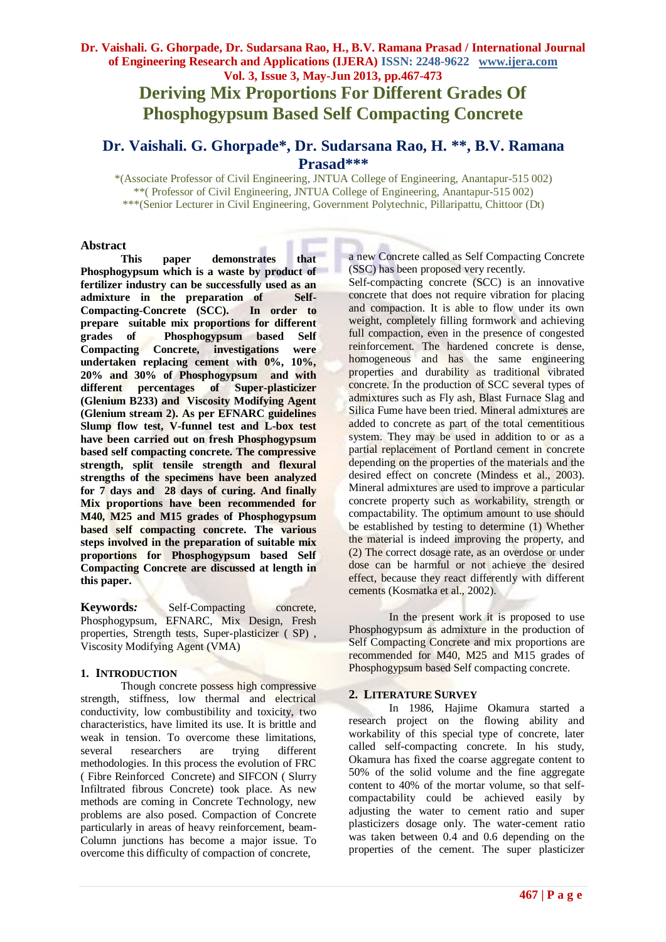**Deriving Mix Proportions For Different Grades Of Phosphogypsum Based Self Compacting Concrete**

# **Dr. Vaishali. G. Ghorpade\* , Dr. Sudarsana Rao, H. \*\* , B.V. Ramana Prasad\*\*\***

\*(Associate Professor of Civil Engineering, JNTUA College of Engineering, Anantapur-515 002) \*\*( Professor of Civil Engineering, JNTUA College of Engineering, Anantapur-515 002) \*\*\*(Senior Lecturer in Civil Engineering, Government Polytechnic, Pillaripattu, Chittoor (Dt)

#### **Abstract**

**This paper demonstrates that Phosphogypsum which is a waste by product of fertilizer industry can be successfully used as an admixture in the preparation of Self-Compacting-Concrete (SCC). In order to prepare suitable mix proportions for different grades of Phosphogypsum based Self Compacting Concrete, investigations were undertaken replacing cement with 0%, 10%, 20% and 30% of Phosphogypsum and with different percentages of Super-plasticizer (Glenium B233) and Viscosity Modifying Agent (Glenium stream 2). As per EFNARC guidelines Slump flow test, V-funnel test and L-box test have been carried out on fresh Phosphogypsum based self compacting concrete. The compressive strength, split tensile strength and flexural strengths of the specimens have been analyzed for 7 days and 28 days of curing. And finally Mix proportions have been recommended for M40, M25 and M15 grades of Phosphogypsum based self compacting concrete. The various steps involved in the preparation of suitable mix proportions for Phosphogypsum based Self Compacting Concrete are discussed at length in this paper.**

**Keywords:** Self-Compacting concrete, Phosphogypsum, EFNARC, Mix Design, Fresh properties, Strength tests, Super-plasticizer ( SP) , Viscosity Modifying Agent (VMA)

#### **1. INTRODUCTION**

Though concrete possess high compressive strength, stiffness, low thermal and electrical conductivity, low combustibility and toxicity, two characteristics, have limited its use. It is brittle and weak in tension. To overcome these limitations, several researchers are trying different methodologies. In this process the evolution of FRC ( Fibre Reinforced Concrete) and SIFCON ( Slurry Infiltrated fibrous Concrete) took place. As new methods are coming in Concrete Technology, new problems are also posed. Compaction of Concrete particularly in areas of heavy reinforcement, beam-Column junctions has become a major issue. To overcome this difficulty of compaction of concrete,

a new Concrete called as Self Compacting Concrete (SSC) has been proposed very recently.

Self-compacting concrete (SCC) is an innovative concrete that does not require vibration for placing and compaction. It is able to flow under its own weight, completely filling formwork and achieving full compaction, even in the presence of congested reinforcement. The hardened concrete is dense, homogeneous and has the same engineering properties and durability as traditional vibrated concrete. In the production of SCC several types of admixtures such as Fly ash, Blast Furnace Slag and Silica Fume have been tried. Mineral admixtures are added to concrete as part of the total cementitious system. They may be used in addition to or as a partial replacement of Portland cement in concrete depending on the properties of the materials and the desired effect on concrete (Mindess et al., 2003). Mineral admixtures are used to improve a particular concrete property such as workability, strength or compactability. The optimum amount to use should be established by testing to determine (1) Whether the material is indeed improving the property, and (2) The correct dosage rate, as an overdose or under dose can be harmful or not achieve the desired effect, because they react differently with different cements (Kosmatka et al., 2002).

In the present work it is proposed to use Phosphogypsum as admixture in the production of Self Compacting Concrete and mix proportions are recommended for M40, M25 and M15 grades of Phosphogypsum based Self compacting concrete.

#### **2. LITERATURE SURVEY**

In 1986, Hajime Okamura started a research project on the flowing ability and workability of this special type of concrete, later called self-compacting concrete. In his study, Okamura has fixed the coarse aggregate content to 50% of the solid volume and the fine aggregate content to 40% of the mortar volume, so that selfcompactability could be achieved easily by adjusting the water to cement ratio and super plasticizers dosage only. The water-cement ratio was taken between 0.4 and 0.6 depending on the properties of the cement. The super plasticizer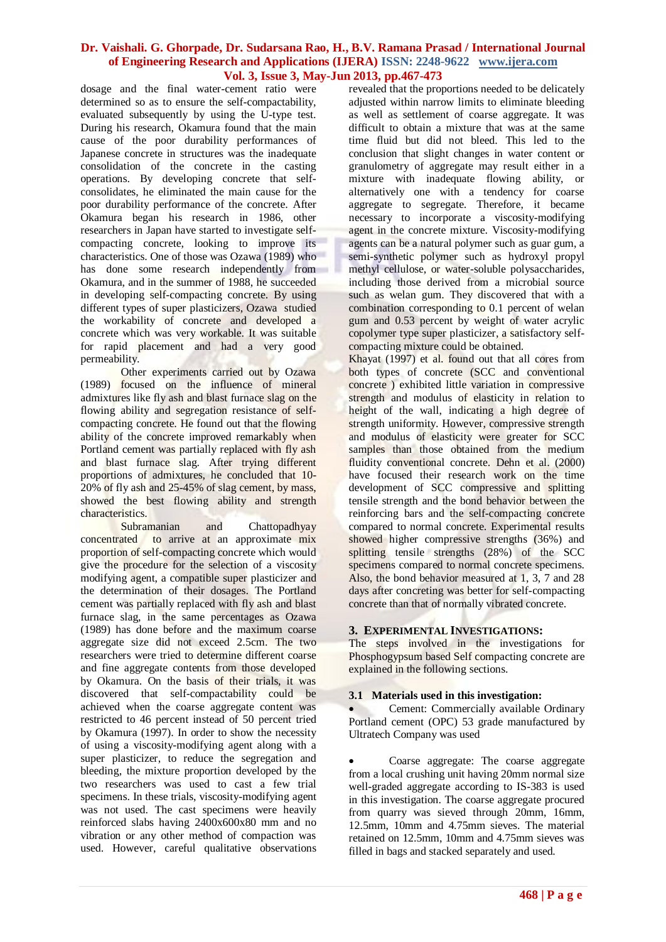dosage and the final water-cement ratio were determined so as to ensure the self-compactability, evaluated subsequently by using the U-type test. During his research, Okamura found that the main cause of the poor durability performances of Japanese concrete in structures was the inadequate consolidation of the concrete in the casting operations. By developing concrete that selfconsolidates, he eliminated the main cause for the poor durability performance of the concrete. After Okamura began his research in 1986, other researchers in Japan have started to investigate selfcompacting concrete, looking to improve its characteristics. One of those was Ozawa (1989) who has done some research independently from Okamura, and in the summer of 1988, he succeeded in developing self-compacting concrete. By using different types of super plasticizers, Ozawa studied the workability of concrete and developed a concrete which was very workable. It was suitable for rapid placement and had a very good permeability.

Other experiments carried out by Ozawa (1989) focused on the influence of mineral admixtures like fly ash and blast furnace slag on the flowing ability and segregation resistance of selfcompacting concrete. He found out that the flowing ability of the concrete improved remarkably when Portland cement was partially replaced with fly ash and blast furnace slag. After trying different proportions of admixtures, he concluded that 10- 20% of fly ash and 25-45% of slag cement, by mass, showed the best flowing ability and strength characteristics.

Subramanian and Chattopadhyay concentrated to arrive at an approximate mix proportion of self-compacting concrete which would give the procedure for the selection of a viscosity modifying agent, a compatible super plasticizer and the determination of their dosages. The Portland cement was partially replaced with fly ash and blast furnace slag, in the same percentages as Ozawa (1989) has done before and the maximum coarse aggregate size did not exceed 2.5cm. The two researchers were tried to determine different coarse and fine aggregate contents from those developed by Okamura. On the basis of their trials, it was discovered that self-compactability could be achieved when the coarse aggregate content was restricted to 46 percent instead of 50 percent tried by Okamura (1997). In order to show the necessity of using a viscosity-modifying agent along with a super plasticizer, to reduce the segregation and bleeding, the mixture proportion developed by the two researchers was used to cast a few trial specimens. In these trials, viscosity-modifying agent was not used. The cast specimens were heavily reinforced slabs having 2400x600x80 mm and no vibration or any other method of compaction was used. However, careful qualitative observations revealed that the proportions needed to be delicately adjusted within narrow limits to eliminate bleeding as well as settlement of coarse aggregate. It was difficult to obtain a mixture that was at the same time fluid but did not bleed. This led to the conclusion that slight changes in water content or granulometry of aggregate may result either in a mixture with inadequate flowing ability, or alternatively one with a tendency for coarse aggregate to segregate. Therefore, it became necessary to incorporate a viscosity-modifying agent in the concrete mixture. Viscosity-modifying agents can be a natural polymer such as guar gum, a semi-synthetic polymer such as hydroxyl propyl methyl cellulose, or water-soluble polysaccharides, including those derived from a microbial source such as welan gum. They discovered that with a combination corresponding to 0.1 percent of welan gum and 0.53 percent by weight of water acrylic copolymer type super plasticizer, a satisfactory selfcompacting mixture could be obtained.

Khayat (1997) et al. found out that all cores from both types of concrete (SCC and conventional concrete ) exhibited little variation in compressive strength and modulus of elasticity in relation to height of the wall, indicating a high degree of strength uniformity. However, compressive strength and modulus of elasticity were greater for SCC samples than those obtained from the medium fluidity conventional concrete. Dehn et al. (2000) have focused their research work on the time development of SCC compressive and splitting tensile strength and the bond behavior between the reinforcing bars and the self-compacting concrete compared to normal concrete. Experimental results showed higher compressive strengths (36%) and splitting tensile strengths (28%) of the SCC specimens compared to normal concrete specimens. Also, the bond behavior measured at 1, 3, 7 and 28 days after concreting was better for self-compacting concrete than that of normally vibrated concrete.

#### **3. EXPERIMENTAL INVESTIGATIONS:**

The steps involved in the investigations for Phosphogypsum based Self compacting concrete are explained in the following sections.

#### **3.1 Materials used in this investigation:**

 Cement: Commercially available Ordinary Portland cement (OPC) 53 grade manufactured by Ultratech Company was used

 Coarse aggregate: The coarse aggregate from a local crushing unit having 20mm normal size well-graded aggregate according to IS-383 is used in this investigation. The coarse aggregate procured from quarry was sieved through 20mm, 16mm, 12.5mm, 10mm and 4.75mm sieves. The material retained on 12.5mm, 10mm and 4.75mm sieves was filled in bags and stacked separately and used.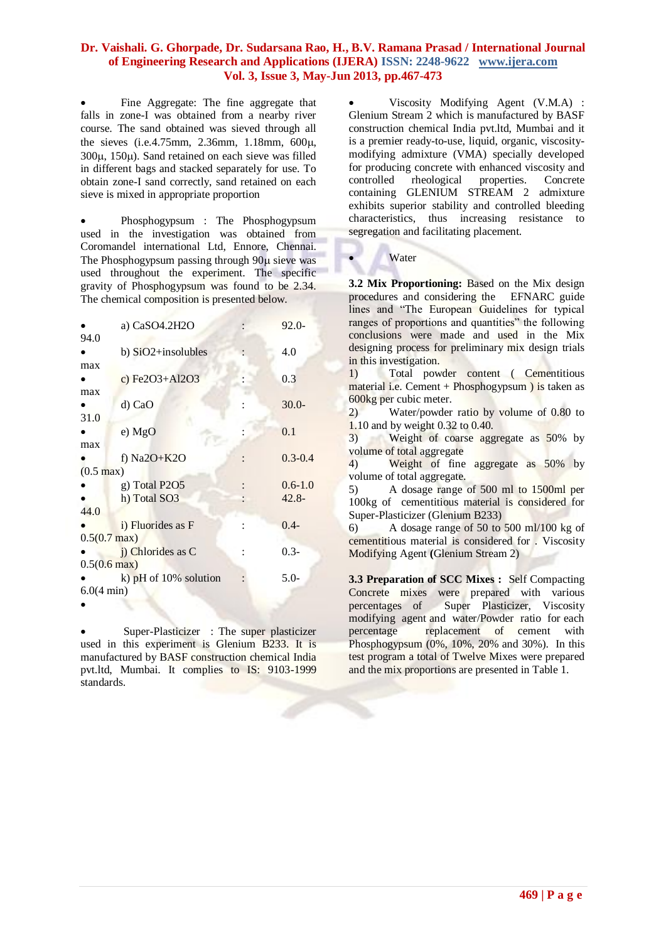Fine Aggregate: The fine aggregate that falls in zone-I was obtained from a nearby river course. The sand obtained was sieved through all the sieves (i.e.4.75mm, 2.36mm, 1.18mm, 600,  $300\mu$ ,  $150\mu$ ). Sand retained on each sieve was filled in different bags and stacked separately for use. To obtain zone-I sand correctly, sand retained on each sieve is mixed in appropriate proportion

 Phosphogypsum : The Phosphogypsum used in the investigation was obtained from Coromandel international Ltd, Ennore, Chennai. The Phosphogypsum passing through 90 $\mu$  sieve was used throughout the experiment. The specific gravity of Phosphogypsum was found to be 2.34. The chemical composition is presented below.

a) CaSO4.2H2O : 92.0-

|                        | a) CaSO4.2H2O           | 92.U-       |
|------------------------|-------------------------|-------------|
| 94.0                   |                         |             |
|                        | b) SiO2+insolubles      | 4.0         |
| max                    |                         |             |
|                        | c) Fe2O3+Al2O3          | 0.3         |
| max                    |                         |             |
|                        | d) CaO                  | $30.0 -$    |
| 31.0                   |                         |             |
|                        | e) MgO                  | 0.1         |
| max                    |                         |             |
|                        | f) $Na2O+K2O$           | $0.3 - 0.4$ |
| $(0.5 \text{ max})$    |                         |             |
|                        | g) Total P2O5           | $0.6 - 1.0$ |
|                        | h) Total SO3            | $42.8 -$    |
| 44.0                   |                         |             |
|                        | i) Fluorides as F       | $0.4 -$     |
| $0.5(0.7 \text{ max})$ |                         |             |
|                        | j) Chlorides as C       | $0.3-$      |
| $0.5(0.6 \text{ max})$ |                         |             |
|                        | k) $pH$ of 10% solution | $5.0-$      |
| $6.0(4 \text{ min})$   |                         |             |
|                        |                         |             |
|                        |                         |             |

 Super-Plasticizer : The super plasticizer used in this experiment is Glenium B233. It is manufactured by BASF construction chemical India pvt.ltd, Mumbai. It complies to IS: 9103-1999 standards.

 Viscosity Modifying Agent (V.M.A) : Glenium Stream 2 which is manufactured by BASF construction chemical India pvt.ltd, Mumbai and it is a premier ready-to-use, liquid, organic, viscositymodifying admixture (VMA) specially developed for producing concrete with enhanced viscosity and controlled rheological properties. Concrete containing GLENIUM STREAM 2 admixture exhibits superior stability and controlled bleeding characteristics, thus increasing resistance to segregation and facilitating placement.

**Water** 

**3.2 Mix Proportioning:** Based on the Mix design procedures and considering the EFNARC guide lines and "The European Guidelines for typical ranges of proportions and quantities" the following conclusions were made and used in the Mix designing process for preliminary mix design trials in this investigation.

1) Total powder content ( Cementitious material i.e. Cement + Phosphogypsum ) is taken as 600kg per cubic meter.

2) Water/powder ratio by volume of 0.80 to 1.10 and by weight 0.32 to 0.40.

3) Weight of coarse aggregate as 50% by volume of total aggregate

4) Weight of fine aggregate as 50% by volume of total aggregate.

5) A dosage range of 500 ml to 1500ml per 100kg of cementitious material is considered for Super-Plasticizer (Glenium B233)

6) A dosage range of 50 to 500 ml/100 kg of cementitious material is considered for . Viscosity Modifying Agent **(**Glenium Stream 2)

**3.3 Preparation of SCC Mixes :** Self Compacting Concrete mixes were prepared with various percentages of Super Plasticizer, Viscosity modifying agent and water/Powder ratio for each percentage replacement of cement with Phosphogypsum (0%, 10%, 20% and 30%). In this test program a total of Twelve Mixes were prepared and the mix proportions are presented in Table 1.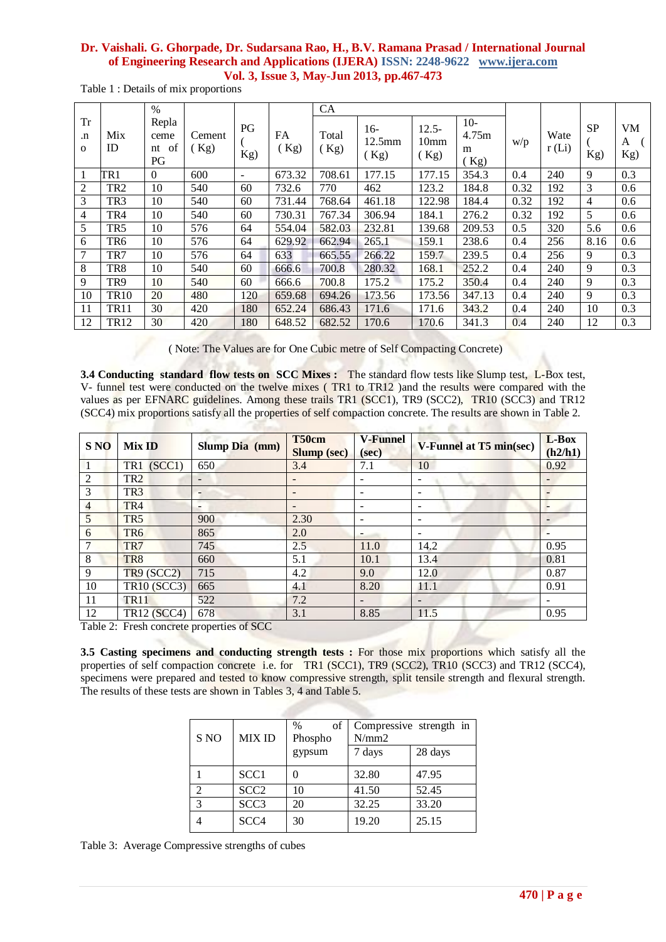|  | Table 1: Details of mix proportions |
|--|-------------------------------------|
|  |                                     |

|                                        |                  | $\%$                            |                |           |            | CA            |                            |                                      |                            |      |               |                  |                       |
|----------------------------------------|------------------|---------------------------------|----------------|-----------|------------|---------------|----------------------------|--------------------------------------|----------------------------|------|---------------|------------------|-----------------------|
| <b>Tr</b><br>$\cdot$ n<br>$\mathbf{O}$ | Mix<br>ID        | Repla<br>ceme<br>of<br>nt<br>PG | Cement<br>(Kg) | PG<br>Kg) | FA<br>(Kg) | Total<br>(Kg) | $16-$<br>$12.5$ mm<br>(Kg) | $12.5 -$<br>10 <sub>mm</sub><br>(Kg) | $10-$<br>4.75m<br>m<br>Kg) | w/p  | Wate<br>r(Li) | <b>SP</b><br>Kg) | <b>VM</b><br>A<br>Kg) |
|                                        | TR <sub>1</sub>  | $\theta$                        | 600            |           | 673.32     | 708.61        | 177.15                     | 177.15                               | 354.3                      | 0.4  | 240           | 9                | 0.3                   |
| 2                                      | TR <sub>2</sub>  | 10                              | 540            | 60        | 732.6      | 770           | 462                        | 123.2                                | 184.8                      | 0.32 | 192           | 3                | 0.6                   |
| 3                                      | TR3              | 10                              | 540            | 60        | 731.44     | 768.64        | 461.18                     | 122.98                               | 184.4                      | 0.32 | 192           | $\overline{4}$   | 0.6                   |
| 4                                      | TR4              | 10                              | 540            | 60        | 730.31     | 767.34        | 306.94                     | 184.1                                | 276.2                      | 0.32 | 192           | 5                | 0.6                   |
| 5                                      | TR <sub>5</sub>  | 10                              | 576            | 64        | 554.04     | 582.03        | 232.81                     | 139.68                               | 209.53                     | 0.5  | 320           | 5.6              | 0.6                   |
| 6                                      | TR6              | 10                              | 576            | 64        | 629.92     | 662.94        | 265.1                      | 159.1                                | 238.6                      | 0.4  | 256           | 8.16             | 0.6                   |
| 7                                      | TR7              | 10                              | 576            | 64        | 633        | 665.55        | 266.22                     | 159.7                                | 239.5                      | 0.4  | 256           | 9                | 0.3                   |
| 8                                      | TR8              | 10                              | 540            | 60        | 666.6      | 700.8         | 280.32                     | 168.1                                | 252.2                      | 0.4  | 240           | 9                | 0.3                   |
| 9                                      | TR9              | 10                              | 540            | 60        | 666.6      | 700.8         | 175.2                      | 175.2                                | 350.4                      | 0.4  | 240           | 9                | 0.3                   |
| 10                                     | TR <sub>10</sub> | 20                              | 480            | 120       | 659.68     | 694.26        | 173.56                     | 173.56                               | 347.13                     | 0.4  | 240           | 9                | 0.3                   |
| 11                                     | <b>TR11</b>      | 30                              | 420            | 180       | 652.24     | 686.43        | 171.6                      | 171.6                                | 343.2                      | 0.4  | 240           | 10               | 0.3                   |
| 12                                     | TR12             | 30                              | 420            | 180       | 648.52     | 682.52        | 170.6                      | 170.6                                | 341.3                      | 0.4  | 240           | 12               | 0.3                   |

( Note: The Values are for One Cubic metre of Self Compacting Concrete)

**3.4 Conducting standard flow tests on SCC Mixes :** The standard flow tests like Slump test, L-Box test, V- funnel test were conducted on the twelve mixes ( TR1 to TR12 )and the results were compared with the values as per EFNARC guidelines. Among these trails TR1 (SCC1), TR9 (SCC2), TR10 (SCC3) and TR12 (SCC4) mix proportions satisfy all the properties of self compaction concrete. The results are shown in Table 2.

 $14.64$ 

| <b>S NO</b> | <b>Mix ID</b>      | Slump Dia (mm) | T50cm<br><b>V-Funnel</b><br><b>Slump</b> (sec)<br>(sec) |                          | V-Funnel at T5 min(sec) | L-Box<br>(h2/h1) |
|-------------|--------------------|----------------|---------------------------------------------------------|--------------------------|-------------------------|------------------|
|             | TR1 (SCC1)         | 650            | 3.4                                                     | 7.1                      | 10                      | 0.92             |
| 2           | TR <sub>2</sub>    |                |                                                         |                          |                         |                  |
| 3           | TR <sub>3</sub>    | -              |                                                         |                          | -                       |                  |
| 4           | TR <sub>4</sub>    | -              |                                                         | $\overline{\phantom{0}}$ | $\sim$                  |                  |
| 5           | TR <sub>5</sub>    | 900            | 2.30                                                    | $\overline{\phantom{0}}$ | ۰                       |                  |
| 6           | TR <sub>6</sub>    | 865            | 2.0                                                     |                          | ۰                       |                  |
|             | TR7                | 745            | 2.5                                                     | 11.0                     | 14.2                    | 0.95             |
| 8           | TR <sub>8</sub>    | 660            | 5.1                                                     | 10.1                     | 13.4                    | 0.81             |
| 9           | TR9 (SCC2)         | 715            | 4.2                                                     | 9.0                      | 12.0                    | 0.87             |
| 10          | <b>TR10 (SCC3)</b> | 665            | 4.1                                                     | 8.20                     | 11.1                    | 0.91             |
| 11          | <b>TR11</b>        | 522            | 7.2                                                     |                          | -                       |                  |
| 12          | <b>TR12 (SCC4)</b> | 678<br>----    | 3.1                                                     | 8.85                     | 11.5                    | 0.95             |

Table 2: Fresh concrete properties of SCC

**3.5 Casting specimens and conducting strength tests :** For those mix proportions which satisfy all the properties of self compaction concrete i.e. for TR1 (SCC1), TR9 (SCC2), TR10 (SCC3) and TR12 (SCC4), specimens were prepared and tested to know compressive strength, split tensile strength and flexural strength. The results of these tests are shown in Tables 3, 4 and Table 5.

| S NO                        | <b>MIX ID</b>    | of<br>$\%$<br>Phospho | N/mm2  | Compressive strength in |
|-----------------------------|------------------|-----------------------|--------|-------------------------|
|                             |                  | gypsum                | 7 days | 28 days                 |
|                             | SCC <sub>1</sub> |                       | 32.80  | 47.95                   |
| $\mathcal{D}_{\mathcal{L}}$ | SCC <sub>2</sub> | 10                    | 41.50  | 52.45                   |
| 3                           | SCC <sub>3</sub> | 20                    | 32.25  | 33.20                   |
|                             | SCC <sub>4</sub> | 30                    | 19.20  | 25.15                   |

Table 3: Average Compressive strengths of cubes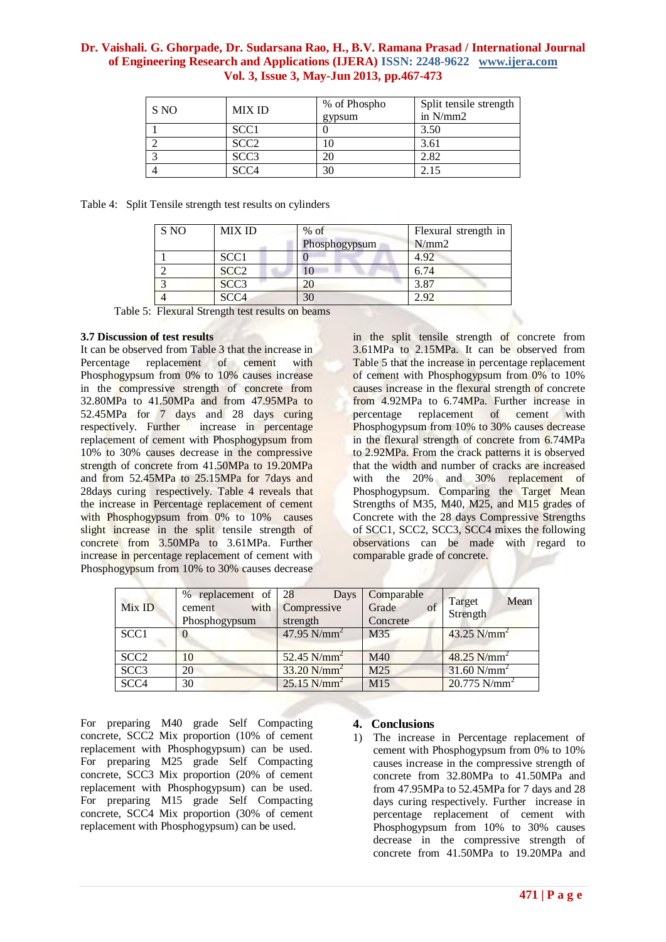| S NO | <b>MIX ID</b>    | % of Phospho<br>gypsum | Split tensile strength<br>in $N/mm2$ |
|------|------------------|------------------------|--------------------------------------|
|      | SCC <sub>1</sub> |                        | 3.50                                 |
|      | SCC2             |                        | 3.61                                 |
|      | SCC <sub>3</sub> | 20                     | 2.82                                 |
|      | SCC4             | 30                     |                                      |

| Table 4: Split Tensile strength test results on cylinders |  |
|-----------------------------------------------------------|--|
|                                                           |  |

| S NO | <b>MIX ID</b>    | $%$ of<br>Phosphogypsum | Flexural strength in<br>N/mm2 |
|------|------------------|-------------------------|-------------------------------|
|      | SCC1             |                         | 4.92                          |
|      | SCC <sub>2</sub> |                         | 6.74                          |
|      | SCC <sub>3</sub> |                         | 3.87                          |
|      | SCC <sub>4</sub> | 30                      | 2.92                          |

Table 5: Flexural Strength test results on beams

#### **3.7 Discussion of test results**

It can be observed from Table 3 that the increase in Percentage replacement of cement with Phosphogypsum from 0% to 10% causes increase in the compressive strength of concrete from 32.80MPa to 41.50MPa and from 47.95MPa to 52.45MPa for 7 days and 28 days curing respectively. Further increase in percentage replacement of cement with Phosphogypsum from 10% to 30% causes decrease in the compressive strength of concrete from 41.50MPa to 19.20MPa and from 52.45MPa to 25.15MPa for 7days and 28days curing respectively. Table 4 reveals that the increase in Percentage replacement of cement with Phosphogypsum from 0% to 10% causes slight increase in the split tensile strength of concrete from 3.50MPa to 3.61MPa. Further increase in percentage replacement of cement with Phosphogypsum from 10% to 30% causes decrease in the split tensile strength of concrete from 3.61MPa to 2.15MPa. It can be observed from Table 5 that the increase in percentage replacement of cement with Phosphogypsum from 0% to 10% causes increase in the flexural strength of concrete from 4.92MPa to 6.74MPa. Further increase in percentage replacement of cement with Phosphogypsum from 10% to 30% causes decrease in the flexural strength of concrete from 6.74MPa to 2.92MPa. From the crack patterns it is observed that the width and number of cracks are increased with the 20% and 30% replacement of Phosphogypsum. Comparing the Target Mean Strengths of M35, M40, M25, and M15 grades of Concrete with the 28 days Compressive Strengths of SCC1, SCC2, SCC3, SCC4 mixes the following observations can be made with regard to comparable grade of concrete.

| Mix ID           | % replacement of 28<br>with  <br>cement<br>Phosphogypsum | Days<br>Compressive<br>strength | Comparable<br>Grade<br>of<br>Concrete | Mean<br>Target<br>Strength |  |
|------------------|----------------------------------------------------------|---------------------------------|---------------------------------------|----------------------------|--|
| SCC <sub>1</sub> | $\theta$                                                 | 47.95 $N/mm^2$                  | M35                                   | 43.25 $N/mm^2$             |  |
| SCC <sub>2</sub> | 10                                                       | $52.45$ N/mm <sup>2</sup>       | M40                                   | 48.25 $N/mm^2$             |  |
| SCC <sub>3</sub> | 20                                                       | $33.20 \text{ N/mm}^2$          | M25                                   | $31.60$ N/mm <sup>2</sup>  |  |
| SCC <sub>4</sub> | 30                                                       | $25.15$ N/mm <sup>2</sup>       | M15                                   | $20.775$ N/mm <sup>2</sup> |  |

For preparing M40 grade Self Compacting concrete, SCC2 Mix proportion (10% of cement replacement with Phosphogypsum) can be used. For preparing M25 grade Self Compacting concrete, SCC3 Mix proportion (20% of cement replacement with Phosphogypsum) can be used. For preparing M15 grade Self Compacting concrete, SCC4 Mix proportion (30% of cement replacement with Phosphogypsum) can be used.

#### **4. Conclusions**

1) The increase in Percentage replacement of cement with Phosphogypsum from 0% to 10% causes increase in the compressive strength of concrete from 32.80MPa to 41.50MPa and from 47.95MPa to 52.45MPa for 7 days and 28 days curing respectively. Further increase in percentage replacement of cement with Phosphogypsum from 10% to 30% causes decrease in the compressive strength of concrete from 41.50MPa to 19.20MPa and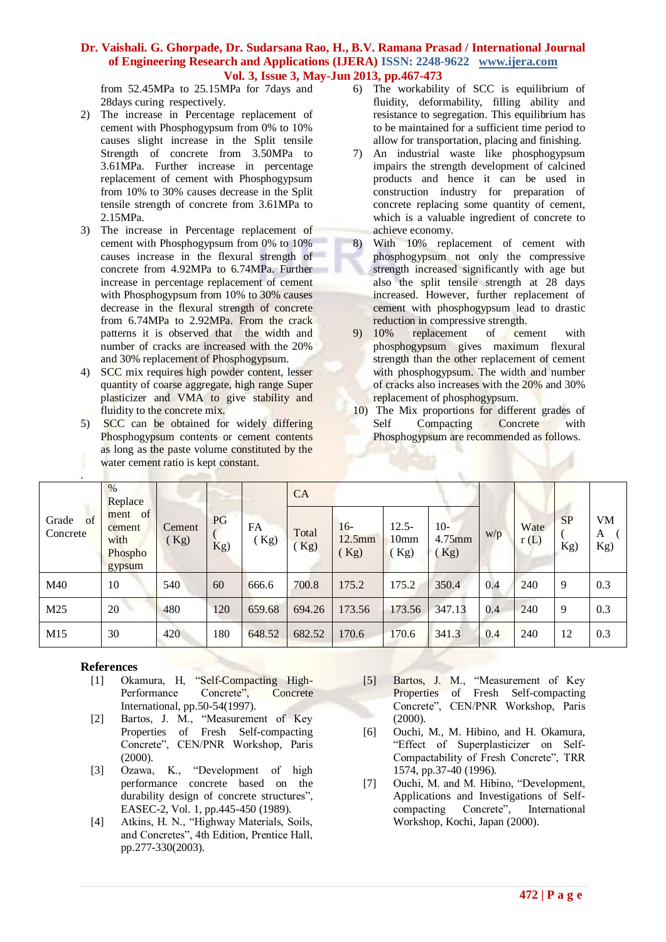from 52.45MPa to 25.15MPa for 7days and 28days curing respectively.

- 2) The increase in Percentage replacement of cement with Phosphogypsum from 0% to 10% causes slight increase in the Split tensile Strength of concrete from 3.50MPa to 3.61MPa. Further increase in percentage replacement of cement with Phosphogypsum from 10% to 30% causes decrease in the Split tensile strength of concrete from 3.61MPa to 2.15MPa.
- 3) The increase in Percentage replacement of cement with Phosphogypsum from 0% to 10% causes increase in the flexural strength of concrete from 4.92MPa to 6.74MPa. Further increase in percentage replacement of cement with Phosphogypsum from 10% to 30% causes decrease in the flexural strength of concrete from 6.74MPa to 2.92MPa. From the crack patterns it is observed that the width and number of cracks are increased with the 20% and 30% replacement of Phosphogypsum.
- 4) SCC mix requires high powder content, lesser quantity of coarse aggregate, high range Super plasticizer and VMA to give stability and fluidity to the concrete mix.
- 5) SCC can be obtained for widely differing Phosphogypsum contents or cement contents as long as the paste volume constituted by the water cement ratio is kept constant.
- 6) The workability of SCC is equilibrium of fluidity, deformability, filling ability and resistance to segregation. This equilibrium has to be maintained for a sufficient time period to allow for transportation, placing and finishing.
- 7) An industrial waste like phosphogypsum impairs the strength development of calcined products and hence it can be used in construction industry for preparation of concrete replacing some quantity of cement, which is a valuable ingredient of concrete to achieve economy.
- 8) With 10% replacement of cement with phosphogypsum not only the compressive strength increased significantly with age but also the split tensile strength at 28 days increased. However, further replacement of cement with phosphogypsum lead to drastic reduction in compressive strength.
- 9) 10% replacement of cement with phosphogypsum gives maximum flexural strength than the other replacement of cement with phosphogypsum. The width and number of cracks also increases with the 20% and 30% replacement of phosphogypsum.
- 10) The Mix proportions for different grades of Self Compacting Concrete with Phosphogypsum are recommended as follows.

| $\bullet$               |                                                   |              |           |            |              |                        |                                     |                         |     |              |                  |                       |
|-------------------------|---------------------------------------------------|--------------|-----------|------------|--------------|------------------------|-------------------------------------|-------------------------|-----|--------------|------------------|-----------------------|
|                         | $\frac{0}{0}$<br>Replace                          |              |           |            | CA           |                        |                                     |                         |     |              |                  |                       |
| of<br>Grade<br>Concrete | of<br>ment<br>cement<br>with<br>Phospho<br>gypsum | Cement<br>Kg | PG<br>Kg) | FA<br>(Kg) | Total<br>Kg) | $16-$<br>12.5mm<br>Kg) | $12.5 -$<br>10 <sub>mm</sub><br>Kg) | $10-$<br>4.75mm<br>(Kg) | w/p | Wate<br>r(L) | <b>SP</b><br>Kg) | <b>VM</b><br>A<br>Kg) |
| M40                     | 10                                                | 540          | 60        | 666.6      | 700.8        | 175.2                  | 175.2                               | 350.4                   | 0.4 | 240          | 9                | 0.3                   |
| M <sub>25</sub>         | 20                                                | 480          | 120       | 659.68     | 694.26       | 173.56                 | 173.56                              | 347.13                  | 0.4 | 240          | 9                | 0.3                   |
| M15                     | 30                                                | 420          | 180       | 648.52     | 682.52       | 170.6                  | 170.6                               | 341.3                   | 0.4 | 240          | 12               | 0.3                   |

## **References**

- [1] Okamura, H, "Self-Compacting High-Performance Concrete", Concrete International, pp.50-54(1997).
- [2] Bartos, J. M., "Measurement of Key Properties of Fresh Self-compacting Concrete", CEN/PNR Workshop, Paris (2000).
- [3] Ozawa, K., "Development of high performance concrete based on the durability design of concrete structures", EASEC-2, Vol. 1, pp.445-450 (1989).
- [4] Atkins, H. N., "Highway Materials, Soils, and Concretes", 4th Edition, Prentice Hall, pp.277-330(2003).
- [5] Bartos, J. M., "Measurement of Key Properties of Fresh Self-compacting Concrete", CEN/PNR Workshop, Paris (2000).
- [6] Ouchi, M., M. Hibino, and H. Okamura, "Effect of Superplasticizer on Self-Compactability of Fresh Concrete", TRR 1574, pp.37-40 (1996).
- [7] Ouchi, M. and M. Hibino, "Development, Applications and Investigations of Selfcompacting Concrete", International Workshop, Kochi, Japan (2000).